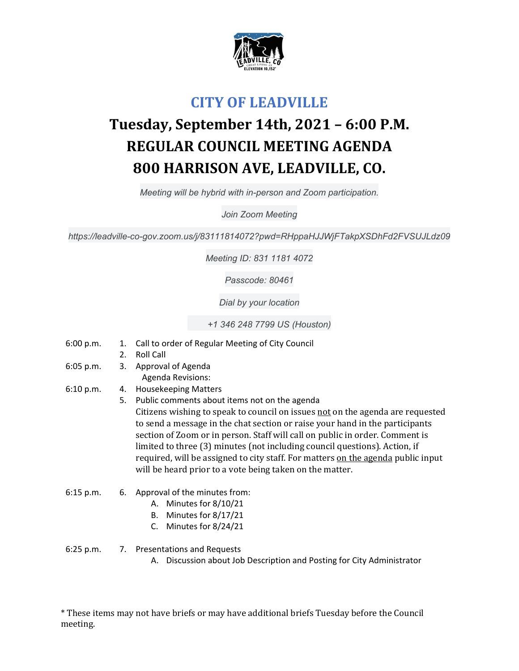

## **CITY OF LEADVILLE**

## **Tuesday, September 14th, 2021 – 6:00 P.M. REGULAR COUNCIL MEETING AGENDA 800 HARRISON AVE, LEADVILLE, CO.**

*Meeting will be hybrid with in-person and Zoom participation.* 

*Join Zoom Meeting* 

*https://leadville-co-gov.zoom.us/j/83111814072?pwd=RHppaHJJWjFTakpXSDhFd2FVSUJLdz09* 

*Meeting ID: 831 1181 4072* 

*Passcode: 80461* 

*Dial by your location* 

 *+1 346 248 7799 US (Houston)* 

- 6:00 p.m. 1. Call to order of Regular Meeting of City Council
	- 2. Roll Call
- 6:05 p.m. 3. Approval of Agenda Agenda Revisions:
- 6:10 p.m. 4. Housekeeping Matters
	- 5. Public comments about items not on the agenda Citizens wishing to speak to council on issues not on the agenda are requested to send a message in the chat section or raise your hand in the participants section of Zoom or in person. Staff will call on public in order. Comment is limited to three (3) minutes (not including council questions). Action, if required, will be assigned to city staff. For matters on the agenda public input will be heard prior to a vote being taken on the matter.
- 6:15 p.m. 6. Approval of the minutes from:
	- A. Minutes for 8/10/21
	- B. Minutes for 8/17/21
	- C. Minutes for 8/24/21

6:25 p.m. 7. Presentations and Requests

A. Discussion about Job Description and Posting for City Administrator

\* These items may not have briefs or may have additional briefs Tuesday before the Council meeting.